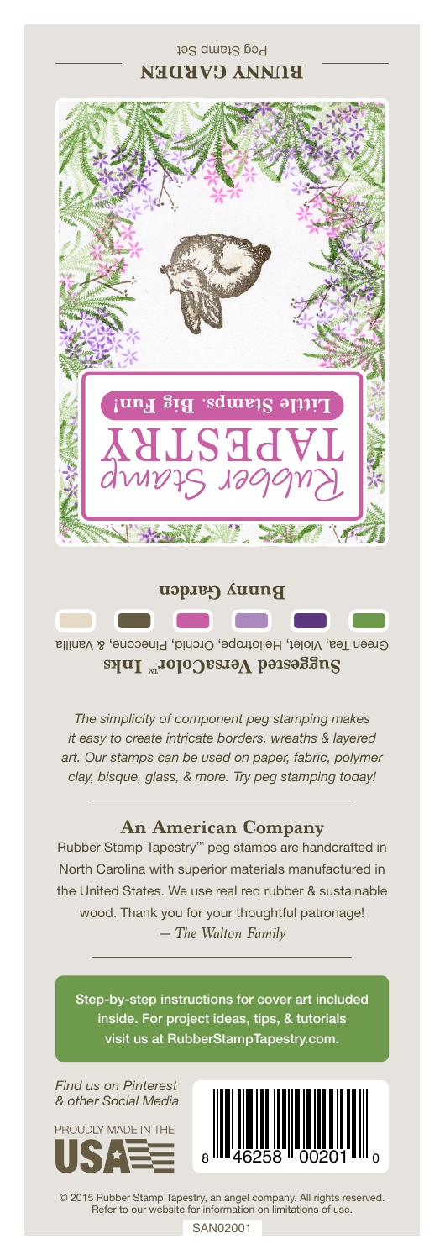## Peg Stamp Set **BUNNY GARDEN**



Green Tea, Violet, Heliotrope, Orchid, Pinecone, & Vanilla Suggested VersaColor<sup>m</sup> Inks

*The simplicity of component peg stamping makes it easy to create intricate borders, wreaths & layered art. Our stamps can be used on paper, fabric, polymer clay, bisque, glass, & more. Try peg stamping today!*

## **An American Company**

*— The Walton Family* Rubber Stamp Tapestry™ peg stamps are handcrafted in North Carolina with superior materials manufactured in the United States. We use real red rubber & sustainable wood. Thank you for your thoughtful patronage!

Step-by-step instructions for cover art included inside. For project ideas, tips, & tutorials visit us at RubberStampTapestry.com.

*Find us on Pinterest & other Social Media*





© 2015 Rubber Stamp Tapestry, an angel company. All rights reserved. Refer to our website for information on limitations of use.